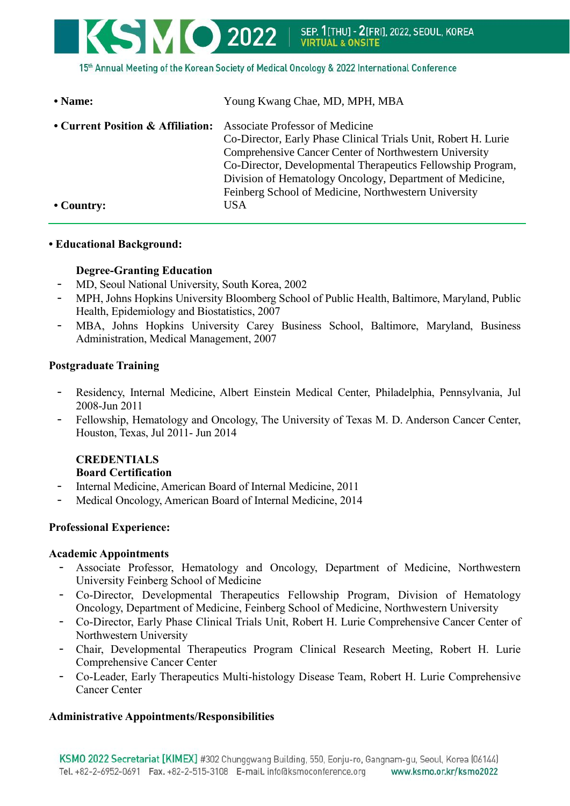

15th Annual Meeting of the Korean Society of Medical Oncology & 2022 International Conference

| • Name:                           | Young Kwang Chae, MD, MPH, MBA                                                                                                                                                                                                                                                                                                                                      |
|-----------------------------------|---------------------------------------------------------------------------------------------------------------------------------------------------------------------------------------------------------------------------------------------------------------------------------------------------------------------------------------------------------------------|
| • Current Position & Affiliation: | <b>Associate Professor of Medicine</b><br>Co-Director, Early Phase Clinical Trials Unit, Robert H. Lurie<br>Comprehensive Cancer Center of Northwestern University<br>Co-Director, Developmental Therapeutics Fellowship Program,<br>Division of Hematology Oncology, Department of Medicine,<br>Feinberg School of Medicine, Northwestern University<br><b>USA</b> |
| $\cdot$ Country:                  |                                                                                                                                                                                                                                                                                                                                                                     |

#### **• Educational Background:**

### **Degree-Granting Education**

- MD, Seoul National University, South Korea, 2002
- MPH, Johns Hopkins University Bloomberg School of Public Health, Baltimore, Maryland, Public Health, Epidemiology and Biostatistics, 2007
- MBA, Johns Hopkins University Carey Business School, Baltimore, Maryland, Business Administration, Medical Management, 2007

### **Postgraduate Training**

- Residency, Internal Medicine, Albert Einstein Medical Center, Philadelphia, Pennsylvania, Jul 2008-Jun 2011
- Fellowship, Hematology and Oncology, The University of Texas M. D. Anderson Cancer Center, Houston, Texas, Jul 2011- Jun 2014

## **CREDENTIALS Board Certification**

- Internal Medicine, American Board of Internal Medicine, 2011
- Medical Oncology, American Board of Internal Medicine, 2014

### **Professional Experience:**

### **Academic Appointments**

- Associate Professor, Hematology and Oncology, Department of Medicine, Northwestern University Feinberg School of Medicine
- Co-Director, Developmental Therapeutics Fellowship Program, Division of Hematology Oncology, Department of Medicine, Feinberg School of Medicine, Northwestern University
- Co-Director, Early Phase Clinical Trials Unit, Robert H. Lurie Comprehensive Cancer Center of Northwestern University
- Chair, Developmental Therapeutics Program Clinical Research Meeting, Robert H. Lurie Comprehensive Cancer Center
- Co-Leader, Early Therapeutics Multi-histology Disease Team, Robert H. Lurie Comprehensive Cancer Center

### **Administrative Appointments/Responsibilities**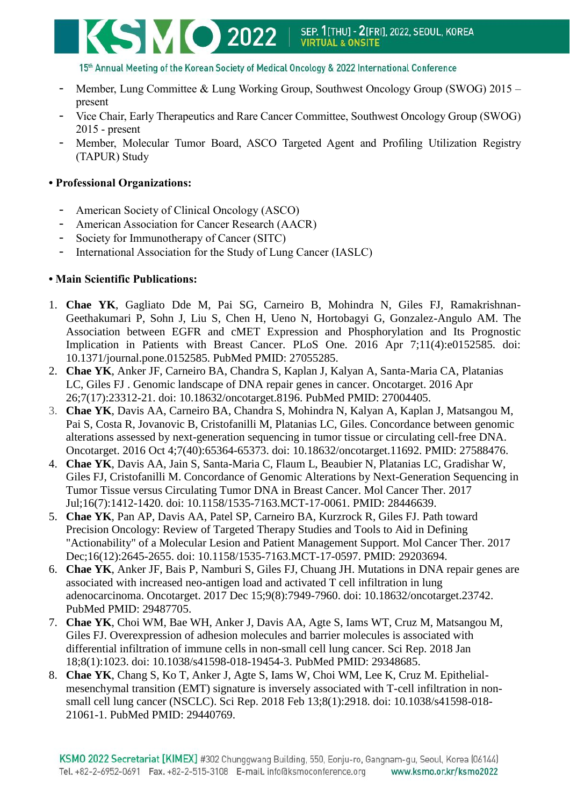

15th Annual Meeting of the Korean Society of Medical Oncology & 2022 International Conference

- Member, Lung Committee & Lung Working Group, Southwest Oncology Group (SWOG) 2015 present
- Vice Chair, Early Therapeutics and Rare Cancer Committee, Southwest Oncology Group (SWOG) 2015 - present
- Member, Molecular Tumor Board, ASCO Targeted Agent and Profiling Utilization Registry (TAPUR) Study

## **• Professional Organizations:**

- American Society of Clinical Oncology (ASCO)
- American Association for Cancer Research (AACR)
- Society for Immunotherapy of Cancer (SITC)
- International Association for the Study of Lung Cancer (IASLC)

## **• Main Scientific Publications:**

- 1. **Chae YK**, Gagliato Dde M, Pai SG, Carneiro B, Mohindra N, Giles FJ, Ramakrishnan-Geethakumari P, Sohn J, Liu S, Chen H, Ueno N, Hortobagyi G, Gonzalez-Angulo AM. The Association between EGFR and cMET Expression and Phosphorylation and Its Prognostic Implication in Patients with Breast Cancer. PLoS One. 2016 Apr 7;11(4):e0152585. doi: 10.1371/journal.pone.0152585. PubMed PMID: 27055285.
- 2. **Chae YK**, Anker JF, Carneiro BA, Chandra S, Kaplan J, Kalyan A, Santa-Maria CA, Platanias LC, Giles FJ . Genomic landscape of DNA repair genes in cancer. Oncotarget. 2016 Apr 26;7(17):23312-21. doi: 10.18632/oncotarget.8196. PubMed PMID: 27004405.
- 3. **Chae YK**, Davis AA, Carneiro BA, Chandra S, Mohindra N, Kalyan A, Kaplan J, Matsangou M, Pai S, Costa R, Jovanovic B, Cristofanilli M, Platanias LC, Giles. Concordance between genomic alterations assessed by next-generation sequencing in tumor tissue or circulating cell-free DNA. Oncotarget. 2016 Oct 4;7(40):65364-65373. doi: 10.18632/oncotarget.11692. PMID: 27588476.
- 4. **Chae YK**, Davis AA, Jain S, Santa-Maria C, Flaum L, Beaubier N, Platanias LC, Gradishar W, Giles FJ, Cristofanilli M. Concordance of Genomic Alterations by Next-Generation Sequencing in Tumor Tissue versus Circulating Tumor DNA in Breast Cancer. Mol Cancer Ther. 2017 Jul;16(7):1412-1420. doi: 10.1158/1535-7163.MCT-17-0061. PMID: 28446639.
- 5. **Chae YK**, Pan AP, Davis AA, Patel SP, Carneiro BA, Kurzrock R, Giles FJ. [Path toward](https://www.ncbi.nlm.nih.gov/pubmed/29203694)  [Precision Oncology: Review of Targeted Therapy Studies and Tools to Aid in Defining](https://www.ncbi.nlm.nih.gov/pubmed/29203694)  ["Actionability" of a Molecular Lesion and Patient Management Support.](https://www.ncbi.nlm.nih.gov/pubmed/29203694) Mol Cancer Ther. 2017 Dec;16(12):2645-2655. doi: 10.1158/1535-7163.MCT-17-0597. PMID: 29203694.
- 6. **Chae YK**, Anker JF, Bais P, Namburi S, Giles FJ, Chuang JH. Mutations in DNA repair genes are associated with increased neo-antigen load and activated T cell infiltration in lung adenocarcinoma. Oncotarget. 2017 Dec 15;9(8):7949-7960. doi: 10.18632/oncotarget.23742. PubMed PMID: 29487705.
- 7. **Chae YK**, Choi WM, Bae WH, Anker J, Davis AA, Agte S, Iams WT, Cruz M, Matsangou M, Giles FJ. Overexpression of adhesion molecules and barrier molecules is associated with differential infiltration of immune cells in non-small cell lung cancer. Sci Rep. 2018 Jan 18;8(1):1023. doi: 10.1038/s41598-018-19454-3. PubMed PMID: 29348685.
- 8. **Chae YK**, Chang S, Ko T, Anker J, Agte S, Iams W, Choi WM, Lee K, Cruz M. Epithelialmesenchymal transition (EMT) signature is inversely associated with T-cell infiltration in nonsmall cell lung cancer (NSCLC). Sci Rep. 2018 Feb 13;8(1):2918. doi: 10.1038/s41598-018- 21061-1. PubMed PMID: 29440769.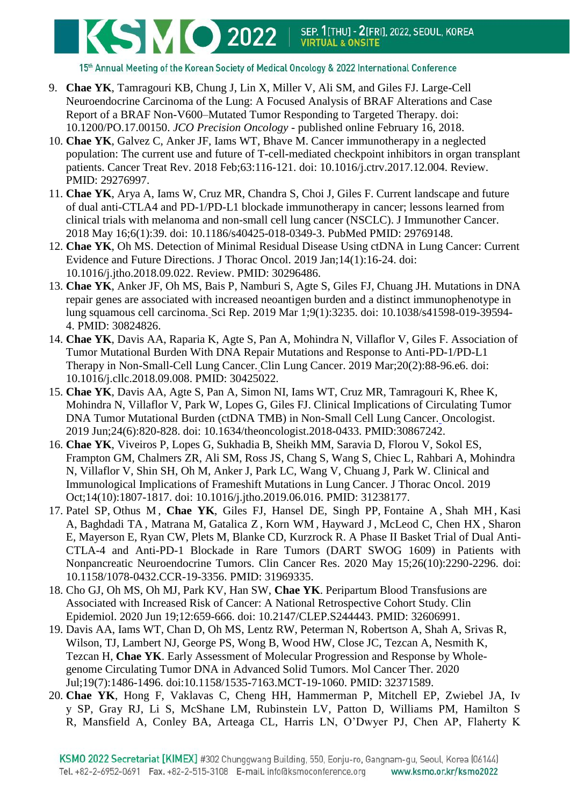

15th Annual Meeting of the Korean Society of Medical Oncology & 2022 International Conference

- 9. **Chae YK**, Tamragouri KB, Chung J, Lin X, Miller V, Ali SM, and Giles FJ. Large-Cell Neuroendocrine Carcinoma of the Lung: A Focused Analysis of BRAF Alterations and Case Report of a BRAF Non-V600–Mutated Tumor Responding to Targeted Therapy. doi: 10.1200/PO.17.00150. *JCO Precision Oncology* - published online February 16, 2018.
- 10. **Chae YK**, Galvez C, Anker JF, Iams WT, Bhave M. Cancer immunotherapy in a neglected population: The current use and future of T-cell-mediated checkpoint inhibitors in organ transplant patients. Cancer Treat Rev. 2018 Feb;63:116-121. doi: 10.1016/j.ctrv.2017.12.004. Review. PMID: 29276997.
- 11. **Chae YK**, Arya A, Iams W, Cruz MR, Chandra S, Choi J, Giles F. Current landscape and future of dual anti-CTLA4 and PD-1/PD-L1 blockade immunotherapy in cancer; lessons learned from clinical trials with melanoma and non-small cell lung cancer (NSCLC). J Immunother Cancer. 2018 May 16;6(1):39. doi: 10.1186/s40425-018-0349-3. PubMed PMID: 29769148.
- 12. **Chae YK**, Oh MS. Detection of Minimal Residual Disease Using ctDNA in Lung Cancer: Current Evidence and Future Directions. J Thorac Oncol. 2019 Jan;14(1):16-24. doi: 10.1016/j.jtho.2018.09.022. Review. PMID: 30296486.
- 13. **Chae YK**, Anker JF, Oh MS, Bais P, Namburi S, Agte S, Giles FJ, Chuang JH. Mutations in DNA repair genes are associated with increased neoantigen burden and a distinct immunophenotype in lung squamous cell carcinoma. Sci Rep. 2019 Mar 1;9(1):3235. doi: 10.1038/s41598-019-39594- 4. PMID: 30824826.
- 14. **Chae YK**, Davis AA, Raparia K, Agte S, Pan A, Mohindra N, Villaflor V, Giles F. Association of Tumor Mutational Burden With DNA Repair Mutations and Response to Anti-PD-1/PD-L1 Therapy in Non-Small-Cell Lung Cancer. Clin Lung Cancer. 2019 Mar;20(2):88-96.e6. doi: 10.1016/j.cllc.2018.09.008. PMID: 30425022.
- 15. **Chae YK**, Davis AA, Agte S, Pan A, Simon NI, Iams WT, Cruz MR, Tamragouri K, Rhee K, Mohindra N, Villaflor V, Park W, Lopes G, Giles FJ. Clinical Implications of Circulating Tumor DNA Tumor Mutational Burden (ctDNA TMB) in Non-Small Cell Lung Cancer. Oncologist. 2019 Jun;24(6):820-828. doi: 10.1634/theoncologist.2018-0433. PMID:30867242.
- 16. **Chae YK**, Viveiros P, Lopes G, Sukhadia B, Sheikh MM, Saravia D, Florou V, Sokol ES, Frampton GM, Chalmers ZR, Ali SM, Ross JS, Chang S, Wang S, Chiec L, Rahbari A, Mohindra N, Villaflor V, Shin SH, Oh M, Anker J, Park LC, Wang V, Chuang J, Park W. Clinical and Immunological Implications of Frameshift Mutations in Lung Cancer. J Thorac Oncol. 2019 Oct;14(10):1807-1817. doi: 10.1016/j.jtho.2019.06.016. PMID: 31238177.
- 17. Patel SP, Othus M , **Chae YK**, Giles FJ, Hansel DE, Singh PP, Fontaine A , Shah MH , Kasi A, Baghdadi TA , Matrana M, Gatalica Z , Korn WM , Hayward J, McLeod C, Chen HX , Sharon E, Mayerson E, Ryan CW, Plets M, Blanke CD, Kurzrock R. A Phase II Basket Trial of Dual Anti-CTLA-4 and Anti-PD-1 Blockade in Rare Tumors (DART SWOG 1609) in Patients with Nonpancreatic Neuroendocrine Tumors. Clin Cancer Res. 2020 May 15;26(10):2290-2296. doi: 10.1158/1078-0432.CCR-19-3356. PMID: 31969335.
- 18. Cho GJ, Oh MS, Oh MJ, Park KV, Han SW, **Chae YK**. Peripartum Blood Transfusions are Associated with Increased Risk of Cancer: A National Retrospective Cohort Study. Clin Epidemiol. 2020 Jun 19;12:659-666. doi: 10.2147/CLEP.S244443. PMID: 32606991.
- 19. Davis AA, Iams WT, Chan D, Oh MS, Lentz RW, Peterman N, Robertson A, Shah A, Srivas R, Wilson, TJ, Lambert NJ, George PS, Wong B, Wood HW, Close JC, Tezcan A, Nesmith K, Tezcan H, **Chae YK**. Early Assessment of Molecular Progression and Response by Wholegenome Circulating Tumor DNA in Advanced Solid Tumors. Mol Cancer Ther. 2020 Jul;19(7):1486-1496. doi:10.1158/1535-7163.MCT-19-1060. PMID: 32371589.
- 20. **Chae YK**, Hong F, Vaklavas C, Cheng HH, Hammerman P, Mitchell EP, Zwiebel JA, Iv y SP, Gray RJ, Li S, McShane LM, Rubinstein LV, Patton D, Williams PM, Hamilton S R, Mansfield A, Conley BA, Arteaga CL, Harris LN, O'Dwyer PJ, Chen AP, Flaherty K